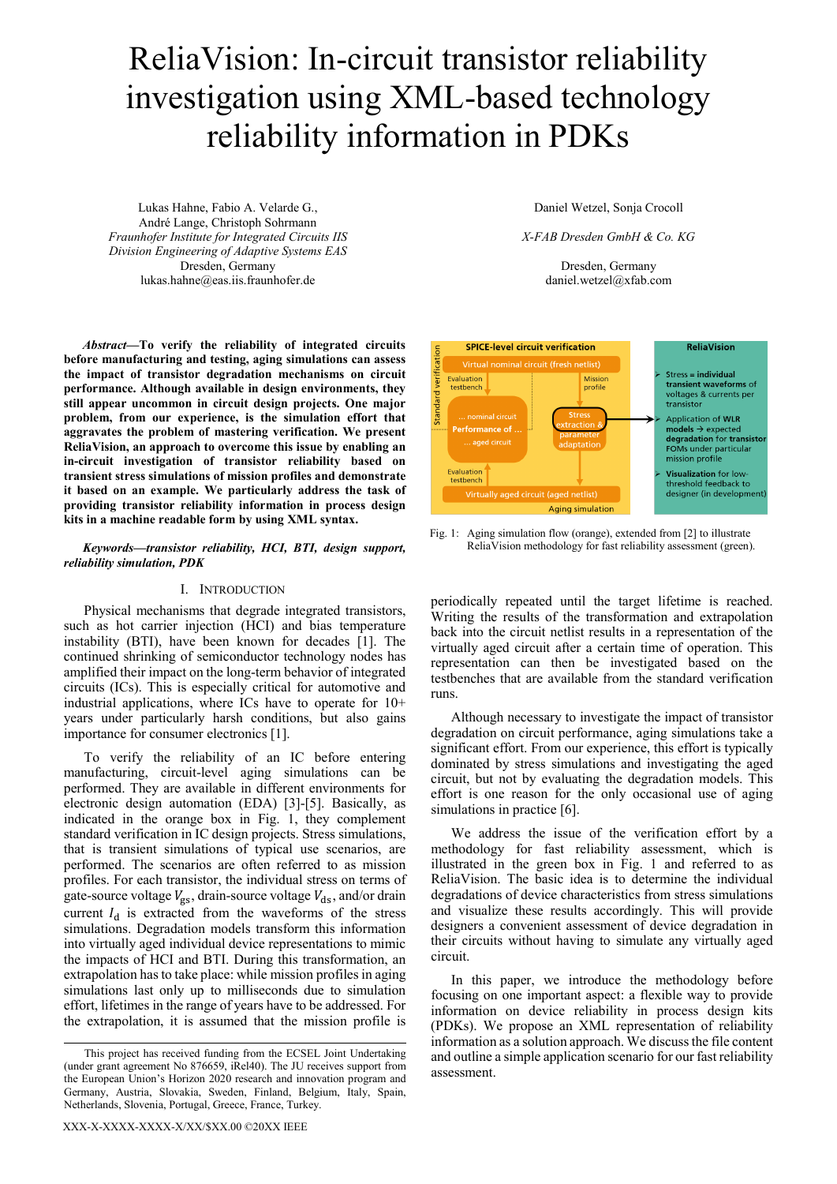# ReliaVision: In-circuit transistor reliability investigation using XML-based technology reliability information in PDKs

Lukas Hahne, Fabio A. Velarde G., André Lange, Christoph Sohrmann *Fraunhofer Institute for Integrated Circuits IIS Division Engineering of Adaptive Systems EAS* Dresden, Germany lukas.hahne@eas.iis.fraunhofer.de

*Abstract***—To verify the reliability of integrated circuits before manufacturing and testing, aging simulations can assess the impact of transistor degradation mechanisms on circuit performance. Although available in design environments, they still appear uncommon in circuit design projects. One major problem, from our experience, is the simulation effort that aggravates the problem of mastering verification. We present ReliaVision, an approach to overcome this issue by enabling an in-circuit investigation of transistor reliability based on transient stress simulations of mission profiles and demonstrate it based on an example. We particularly address the task of providing transistor reliability information in process design kits in a machine readable form by using XML syntax.**

## *Keywords—transistor reliability, HCI, BTI, design support, reliability simulation, PDK*

# I. INTRODUCTION

Physical mechanisms that degrade integrated transistors, such as hot carrier injection (HCI) and bias temperature instability (BTI), have been known for decades [\[1\].](#page-3-0) The continued shrinking of semiconductor technology nodes has amplified their impact on the long-term behavior of integrated circuits (ICs). This is especially critical for automotive and industrial applications, where ICs have to operate for 10+ years under particularly harsh conditions, but also gains importance for consumer electronic[s \[1\].](#page-3-0)

To verify the reliability of an IC before entering manufacturing, circuit-level aging simulations can be performed. They are available in different environments for electronic design automation (EDA) [\[3\]-](#page-3-1)[\[5\].](#page-3-2) Basically, as indicated in the orange box in [Fig. 1,](#page-0-0) they complement standard verification in IC design projects. Stress simulations, that is transient simulations of typical use scenarios, are performed. The scenarios are often referred to as mission profiles. For each transistor, the individual stress on terms of gate-source voltage  $V_{gs}$ , drain-source voltage  $V_{ds}$ , and/or drain current  $I_d$  is extracted from the waveforms of the stress simulations. Degradation models transform this information into virtually aged individual device representations to mimic the impacts of HCI and BTI. During this transformation, an extrapolation has to take place: while mission profiles in aging simulations last only up to milliseconds due to simulation effort, lifetimes in the range of years have to be addressed. For the extrapolation, it is assumed that the mission profile is

Daniel Wetzel, Sonja Crocoll

*X-FAB Dresden GmbH & Co. KG*

Dresden, Germany daniel.wetzel@xfab.com



<span id="page-0-0"></span>Fig. 1: Aging simulation flow (orange), extended fro[m \[2\]](#page-3-3) to illustrate ReliaVision methodology for fast reliability assessment (green).

periodically repeated until the target lifetime is reached. Writing the results of the transformation and extrapolation back into the circuit netlist results in a representation of the virtually aged circuit after a certain time of operation. This representation can then be investigated based on the testbenches that are available from the standard verification runs.

Although necessary to investigate the impact of transistor degradation on circuit performance, aging simulations take a significant effort. From our experience, this effort is typically dominated by stress simulations and investigating the aged circuit, but not by evaluating the degradation models. This effort is one reason for the only occasional use of aging simulations in practic[e \[6\].](#page-3-3)

We address the issue of the verification effort by a methodology for fast reliability assessment, which is illustrated in the green box in [Fig. 1](#page-0-0) and referred to as ReliaVision. The basic idea is to determine the individual degradations of device characteristics from stress simulations and visualize these results accordingly. This will provide designers a convenient assessment of device degradation in their circuits without having to simulate any virtually aged circuit.

In this paper, we introduce the methodology before focusing on one important aspect: a flexible way to provide information on device reliability in process design kits (PDKs). We propose an XML representation of reliability information as a solution approach. We discuss the file content and outline a simple application scenario for our fast reliability assessment.

This project has received funding from the ECSEL Joint Undertaking (under grant agreement No 876659, iRel40). The JU receives support from the European Union's Horizon 2020 research and innovation program and Germany, Austria, Slovakia, Sweden, Finland, Belgium, Italy, Spain, Netherlands, Slovenia, Portugal, Greece, France, Turkey.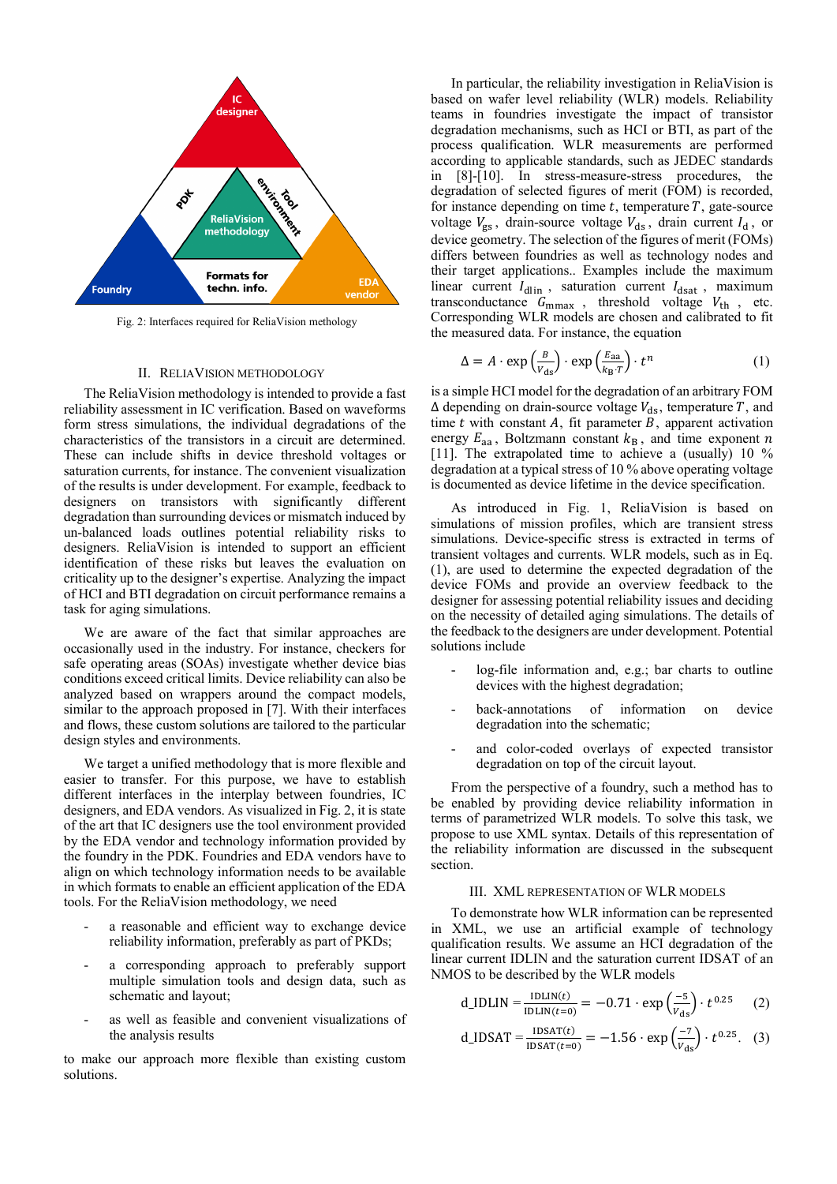

<span id="page-1-0"></span>Fig. 2: Interfaces required for ReliaVision methology

#### II. RELIAVISION METHODOLOGY

The ReliaVision methodology is intended to provide a fast reliability assessment in IC verification. Based on waveforms form stress simulations, the individual degradations of the characteristics of the transistors in a circuit are determined. These can include shifts in device threshold voltages or saturation currents, for instance. The convenient visualization of the results is under development. For example, feedback to designers on transistors with significantly different degradation than surrounding devices or mismatch induced by un-balanced loads outlines potential reliability risks to designers. ReliaVision is intended to support an efficient identification of these risks but leaves the evaluation on criticality up to the designer's expertise. Analyzing the impact of HCI and BTI degradation on circuit performance remains a task for aging simulations.

We are aware of the fact that similar approaches are occasionally used in the industry. For instance, checkers for safe operating areas (SOAs) investigate whether device bias conditions exceed critical limits. Device reliability can also be analyzed based on wrappers around the compact models, similar to the approach proposed in [7]. With their interfaces and flows, these custom solutions are tailored to the particular design styles and environments.

We target a unified methodology that is more flexible and easier to transfer. For this purpose, we have to establish different interfaces in the interplay between foundries, IC designers, and EDA vendors. As visualized i[n Fig. 2,](#page-1-0) it is state of the art that IC designers use the tool environment provided by the EDA vendor and technology information provided by the foundry in the PDK. Foundries and EDA vendors have to align on which technology information needs to be available in which formats to enable an efficient application of the EDA tools. For the ReliaVision methodology, we need

- a reasonable and efficient way to exchange device reliability information, preferably as part of PKDs;
- a corresponding approach to preferably support multiple simulation tools and design data, such as schematic and layout;
- as well as feasible and convenient visualizations of the analysis results

to make our approach more flexible than existing custom solutions.

In particular, the reliability investigation in ReliaVision is based on wafer level reliability (WLR) models. Reliability teams in foundries investigate the impact of transistor degradation mechanisms, such as HCI or BTI, as part of the process qualification. WLR measurements are performed according to applicable standards, such as JEDEC standards in [\[8\]-](#page-3-4)[\[10\].](#page-3-5) In stress-measure-stress procedures, the degradation of selected figures of merit (FOM) is recorded, for instance depending on time  $t$ , temperature  $T$ , gate-source voltage  $V_{gs}$ , drain-source voltage  $V_{ds}$ , drain current  $I_d$ , or device geometry. The selection of the figures of merit (FOMs) differs between foundries as well as technology nodes and their target applications.. Examples include the maximum linear current  $I_{\text{dlin}}$ , saturation current  $I_{\text{dsat}}$ , maximum transconductance  $G_{\text{mmax}}$ , threshold voltage  $V_{\text{th}}$ , etc. Corresponding WLR models are chosen and calibrated to fit the measured data. For instance, the equation

$$
\Delta = A \cdot \exp\left(\frac{B}{V_{ds}}\right) \cdot \exp\left(\frac{E_{aa}}{k_B \cdot T}\right) \cdot t^n \tag{1}
$$

is a simple HCI model for the degradation of an arbitrary FOM  $\Delta$  depending on drain-source voltage  $V_{ds}$ , temperature T, and time  $t$  with constant  $A$ , fit parameter  $B$ , apparent activation energy  $E_{aa}$ , Boltzmann constant  $k_B$ , and time exponent n [\[11\].](#page-3-6) The extrapolated time to achieve a (usually) 10 % degradation at a typical stress of 10 % above operating voltage is documented as device lifetime in the device specification.

As introduced in [Fig. 1,](#page-0-0) ReliaVision is based on simulations of mission profiles, which are transient stress simulations. Device-specific stress is extracted in terms of transient voltages and currents. WLR models, such as in Eq. (1), are used to determine the expected degradation of the device FOMs and provide an overview feedback to the designer for assessing potential reliability issues and deciding on the necessity of detailed aging simulations. The details of the feedback to the designers are under development. Potential solutions include

- log-file information and, e.g.; bar charts to outline devices with the highest degradation;
- back-annotations of information on device degradation into the schematic;
- and color-coded overlays of expected transistor degradation on top of the circuit layout.

From the perspective of a foundry, such a method has to be enabled by providing device reliability information in terms of parametrized WLR models. To solve this task, we propose to use XML syntax. Details of this representation of the reliability information are discussed in the subsequent section.

#### III. XML REPRESENTATION OF WLR MODELS

<span id="page-1-1"></span>To demonstrate how WLR information can be represented in XML, we use an artificial example of technology qualification results. We assume an HCI degradation of the linear current IDLIN and the saturation current IDSAT of an NMOS to be described by the WLR models

d\_IDLIN = 
$$
\frac{IDLIN(t)}{IDLIN(t=0)}
$$
 = -0.71  $\cdot$  exp  $\left(\frac{-5}{v_{ds}}\right) \cdot t^{0.25}$  (2)

$$
d_{\text{LIDSAT}} = \frac{\text{IDSAT}(t)}{\text{IDSAT}(t=0)} = -1.56 \cdot \exp\left(\frac{-7}{V_{\text{ds}}}\right) \cdot t^{0.25}.
$$
 (3)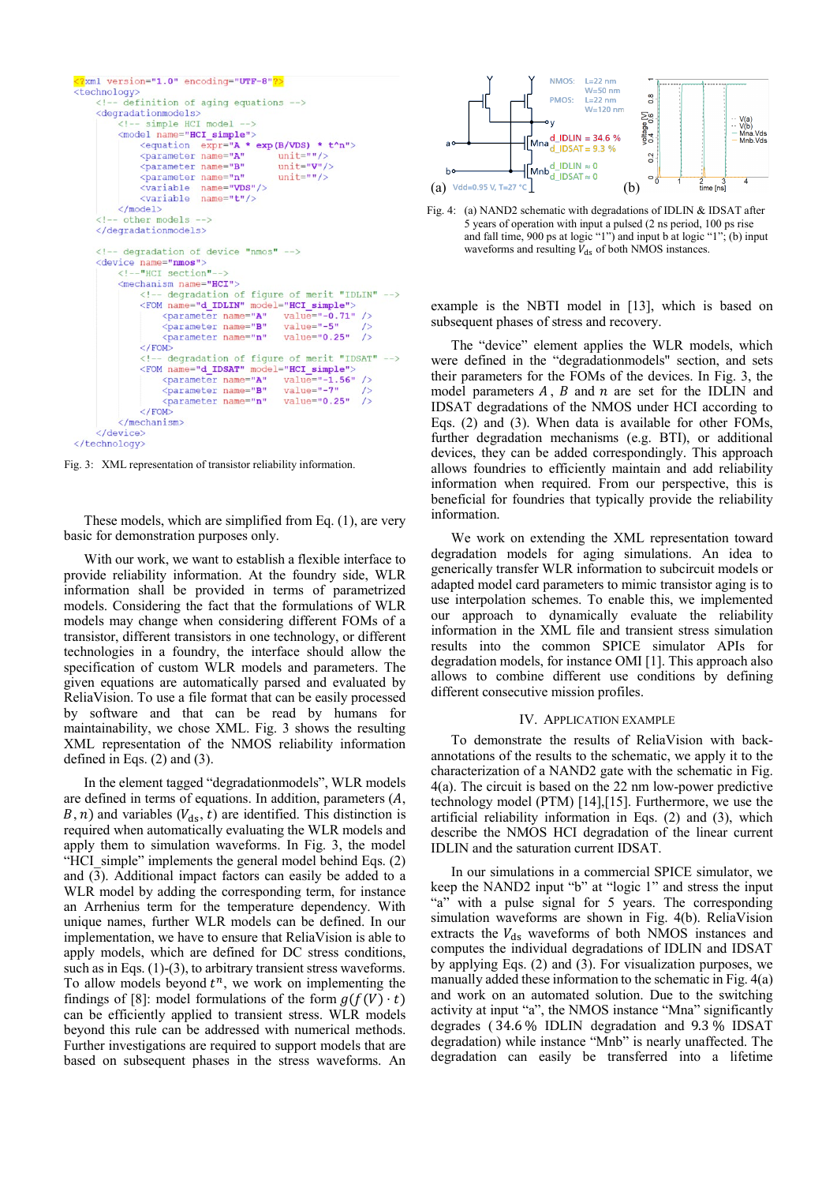

<span id="page-2-0"></span>Fig. 3: XML representation of transistor reliability information.

These models, which are simplified from Eq. (1), are very basic for demonstration purposes only.

With our work, we want to establish a flexible interface to provide reliability information. At the foundry side, WLR information shall be provided in terms of parametrized models. Considering the fact that the formulations of WLR models may change when considering different FOMs of a transistor, different transistors in one technology, or different technologies in a foundry, the interface should allow the specification of custom WLR models and parameters. The given equations are automatically parsed and evaluated by ReliaVision. To use a file format that can be easily processed by software and that can be read by humans for maintainability, we chose XML. [Fig. 3](#page-2-0) shows the resulting XML representation of the NMOS reliability information defined in Eqs. (2) and (3).

In the element tagged "degradationmodels", WLR models are defined in terms of equations. In addition, parameters  $(A,$ B, n) and variables  $(V_{ds}, t)$  are identified. This distinction is required when automatically evaluating the WLR models and apply them to simulation waveforms. In [Fig. 3,](#page-2-0) the model "HCI simple" implements the general model behind Eqs. (2) and (3). Additional impact factors can easily be added to a WLR model by adding the corresponding term, for instance an Arrhenius term for the temperature dependency. With unique names, further WLR models can be defined. In our implementation, we have to ensure that ReliaVision is able to apply models, which are defined for DC stress conditions, such as in Eqs. (1)-(3), to arbitrary transient stress waveforms. To allow models beyond  $t^n$ , we work on implementing the findings of [\[8\]:](#page-3-7) model formulations of the form  $g(f(V) \cdot t)$ can be efficiently applied to transient stress. WLR models beyond this rule can be addressed with numerical methods. Further investigations are required to support models that are based on subsequent phases in the stress waveforms. An



<span id="page-2-1"></span>Fig. 4: (a) NAND2 schematic with degradations of IDLIN & IDSAT after 5 years of operation with input a pulsed (2 ns period, 100 ps rise and fall time, 900 ps at logic "1") and input b at logic "1"; (b) input waveforms and resulting  $\tilde{V}_{ds}$  of both NMOS instances.

example is the NBTI model in [\[13\],](#page-3-8) which is based on subsequent phases of stress and recovery.

The "device" element applies the WLR models, which were defined in the "degradationmodels" section, and sets their parameters for the FOMs of the devices. In [Fig. 3,](#page-2-0) the model parameters  $A$ ,  $B$  and  $n$  are set for the IDLIN and IDSAT degradations of the NMOS under HCI according to Eqs. (2) and (3). When data is available for other FOMs, further degradation mechanisms (e.g. BTI), or additional devices, they can be added correspondingly. This approach allows foundries to efficiently maintain and add reliability information when required. From our perspective, this is beneficial for foundries that typically provide the reliability information.

We work on extending the XML representation toward degradation models for aging simulations. An idea to generically transfer WLR information to subcircuit models or adapted model card parameters to mimic transistor aging is to use interpolation schemes. To enable this, we implemented our approach to dynamically evaluate the reliability information in the XML file and transient stress simulation results into the common SPICE simulator APIs for degradation models, for instance OMI [\[1\].](#page-3-0) This approach also allows to combine different use conditions by defining different consecutive mission profiles.

### IV. APPLICATION EXAMPLE

To demonstrate the results of ReliaVision with backannotations of the results to the schematic, we apply it to the characterization of a NAND2 gate with the schematic in [Fig.](#page-2-1)  [4\(](#page-2-1)a). The circuit is based on the 22 nm low-power predictive technology model (PTM) [\[14\]](#page-3-9)[,\[15\].](#page-3-10) Furthermore, we use the artificial reliability information in Eqs. (2) and (3), which describe the NMOS HCI degradation of the linear current IDLIN and the saturation current IDSAT.

In our simulations in a commercial SPICE simulator, we keep the NAND2 input "b" at "logic 1" and stress the input "a" with a pulse signal for 5 years. The corresponding simulation waveforms are shown in [Fig. 4\(](#page-2-1)b). ReliaVision extracts the  $V_{ds}$  waveforms of both NMOS instances and computes the individual degradations of IDLIN and IDSAT by applying Eqs. (2) and (3). For visualization purposes, we manually added these information to the schematic i[n Fig. 4\(](#page-2-1)a) and work on an automated solution. Due to the switching activity at input "a", the NMOS instance "Mna" significantly degrades ( 34.6 % IDLIN degradation and 9.3 % IDSAT degradation) while instance "Mnb" is nearly unaffected. The degradation can easily be transferred into a lifetime